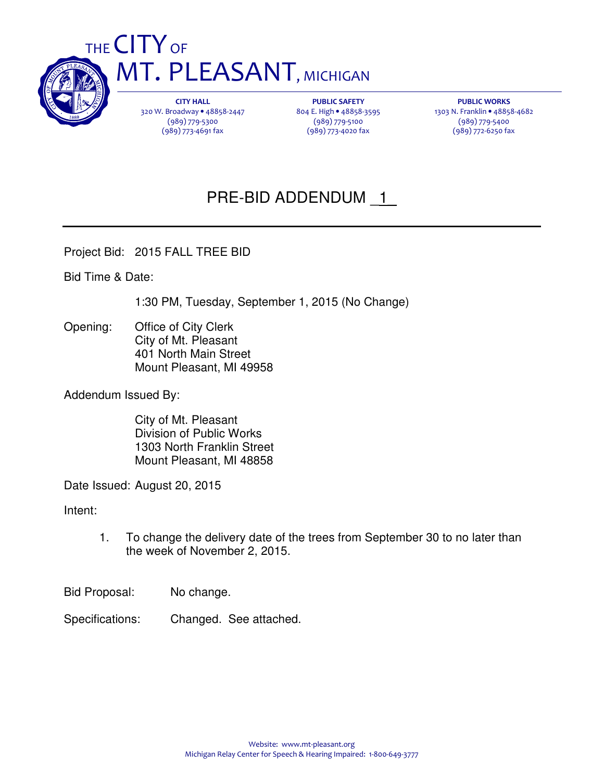

THE CITY OF **MT. PLEASANT, MICHIGAN** 

> CITY HALL 320 W. Broadway • 48858-2447 (989) 779-5300 (989) 773-4691 fax

PUBLIC SAFETY 804 E. High • 48858-3595 (989) 779-5100 (989) 773-4020 fax

PUBLIC WORKS 1303 N. Franklin • 48858-4682 (989) 779-5400 (989) 772-6250 fax

# PRE-BID ADDENDUM \_1\_

Project Bid: 2015 FALL TREE BID

Bid Time & Date:

1:30 PM, Tuesday, September 1, 2015 (No Change)

Opening: Office of City Clerk City of Mt. Pleasant 401 North Main Street Mount Pleasant, MI 49958

Addendum Issued By:

 City of Mt. Pleasant Division of Public Works 1303 North Franklin Street Mount Pleasant, MI 48858

Date Issued: August 20, 2015

Intent:

1. To change the delivery date of the trees from September 30 to no later than the week of November 2, 2015.

Bid Proposal: No change.

Specifications: Changed. See attached.